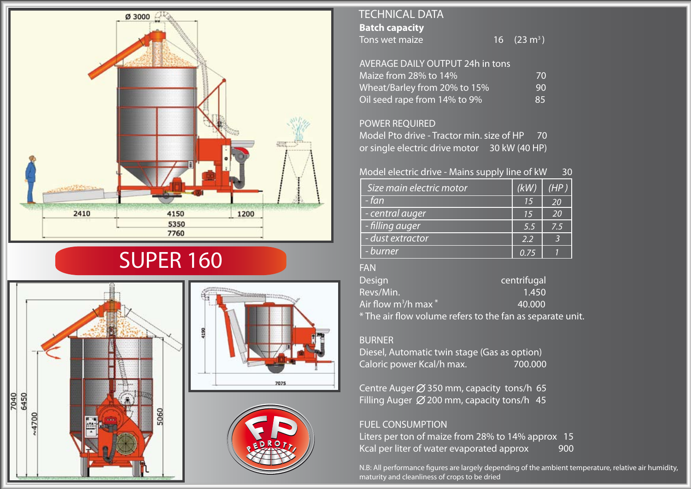

# SUPER 160



## **Batch capacity** Tons wet maize TECHNICAL DATA

16  $(23 m<sup>3</sup>)$ 

| AVERAGE DAILY OUTPUT 24h in tons |     |
|----------------------------------|-----|
| Maize from 28% to 14%            | 70  |
| Wheat/Barley from 20% to 15%     | 90  |
| Oil seed rape from 14% to 9%     | 85. |

### POWER REQUIRED

Model Pto drive - Tractor min. size of HP 70 or single electric drive motor 30 kW (40 HP)

#### Model electric drive - Mains supply line of kW 30

| Size main electric motor | (kW) | (HP) |
|--------------------------|------|------|
| - fan                    | 15   | 20   |
| - central auger          | 15   | 20   |
| - filling auger          | 5.5  | 7.5  |
| - dust extractor         | 2.2  |      |
| - burner                 | O 75 |      |

#### FAN

| <b>Design</b>                                                                                                   | centrifugal |
|-----------------------------------------------------------------------------------------------------------------|-------------|
| Revs/Min.                                                                                                       | 1.450       |
| Air flow m ${}^{3}\!/$ h max ${}^{*}$                                                                           | 40.000      |
| 2 The change of the continuum of the contract of the contract of the contract of the contract of the contract o |             |

\* The air flow volume refers to the fan as separate unit.

#### BURNER

Diesel, Automatic twin stage (Gas as option) Caloric power Kcal/h max. 700.000

Centre Auger  $\emptyset$  350 mm, capacity tons/h 65 Filling Auger  $\emptyset$  200 mm, capacity tons/h 45

#### FUEL CONSUMPTION

Liters per ton of maize from 28% to 14% approx 15 Kcal per liter of water evaporated approx 900

N.B: All performance figures are largely depending of the ambient temperature, relative air humidity, maturity and cleanliness of crops to be dried